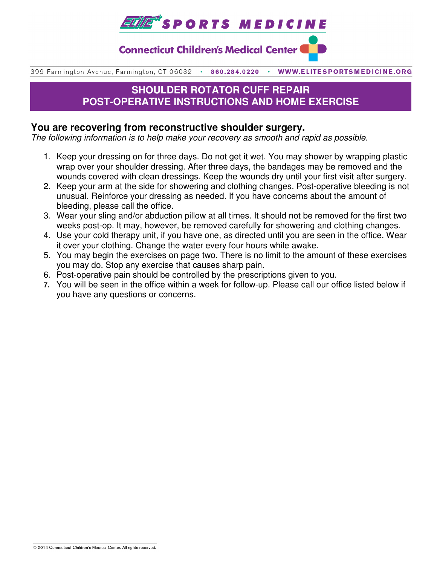

**Connecticut Children's Medical Center (** 

399 Farmington Avenue, Farmington, CT 06032 . 860.284.0220 WWW.ELITESPORTSMEDICINE.ORG

# **SHOULDER ROTATOR CUFF REPAIR POST-OPERATIVE INSTRUCTIONS AND HOME EXERCISE**

### **You are recovering from reconstructive shoulder surgery.**

The following information is to help make your recovery as smooth and rapid as possible.

- 1. Keep your dressing on for three days. Do not get it wet. You may shower by wrapping plastic wrap over your shoulder dressing. After three days, the bandages may be removed and the wounds covered with clean dressings. Keep the wounds dry until your first visit after surgery.
- 2. Keep your arm at the side for showering and clothing changes. Post-operative bleeding is not unusual. Reinforce your dressing as needed. If you have concerns about the amount of bleeding, please call the office.
- 3. Wear your sling and/or abduction pillow at all times. It should not be removed for the first two weeks post-op. It may, however, be removed carefully for showering and clothing changes.
- 4. Use your cold therapy unit, if you have one, as directed until you are seen in the office. Wear it over your clothing. Change the water every four hours while awake.
- 5. You may begin the exercises on page two. There is no limit to the amount of these exercises you may do. Stop any exercise that causes sharp pain.
- 6. Post-operative pain should be controlled by the prescriptions given to you.
- **7.** You will be seen in the office within a week for follow-up. Please call our office listed below if you have any questions or concerns.